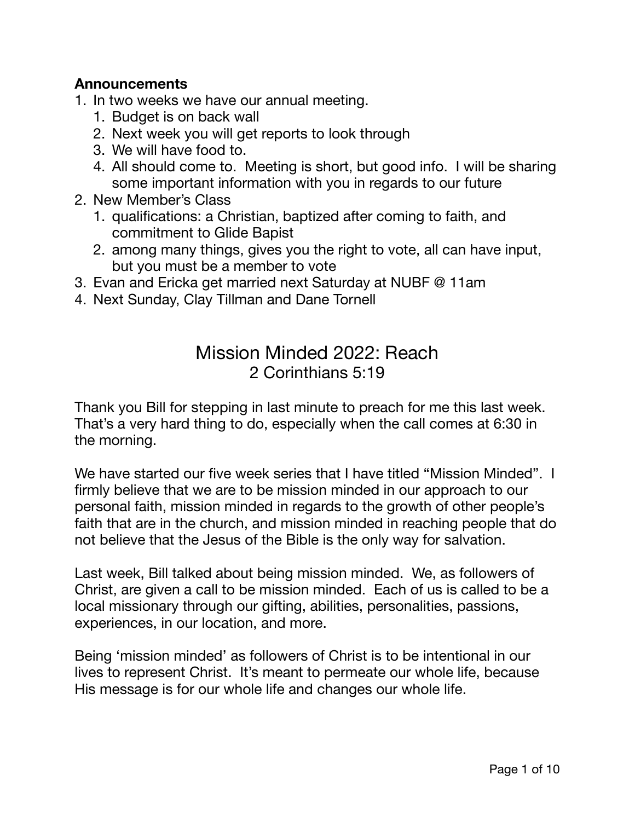### **Announcements**

- 1. In two weeks we have our annual meeting.
	- 1. Budget is on back wall
	- 2. Next week you will get reports to look through
	- 3. We will have food to.
	- 4. All should come to. Meeting is short, but good info. I will be sharing some important information with you in regards to our future
- 2. New Member's Class
	- 1. qualifications: a Christian, baptized after coming to faith, and commitment to Glide Bapist
	- 2. among many things, gives you the right to vote, all can have input, but you must be a member to vote
- 3. Evan and Ericka get married next Saturday at NUBF @ 11am
- 4. Next Sunday, Clay Tillman and Dane Tornell

# Mission Minded 2022: Reach 2 Corinthians 5:19

Thank you Bill for stepping in last minute to preach for me this last week. That's a very hard thing to do, especially when the call comes at 6:30 in the morning.

We have started our five week series that I have titled "Mission Minded". I firmly believe that we are to be mission minded in our approach to our personal faith, mission minded in regards to the growth of other people's faith that are in the church, and mission minded in reaching people that do not believe that the Jesus of the Bible is the only way for salvation.

Last week, Bill talked about being mission minded. We, as followers of Christ, are given a call to be mission minded. Each of us is called to be a local missionary through our gifting, abilities, personalities, passions, experiences, in our location, and more.

Being 'mission minded' as followers of Christ is to be intentional in our lives to represent Christ. It's meant to permeate our whole life, because His message is for our whole life and changes our whole life.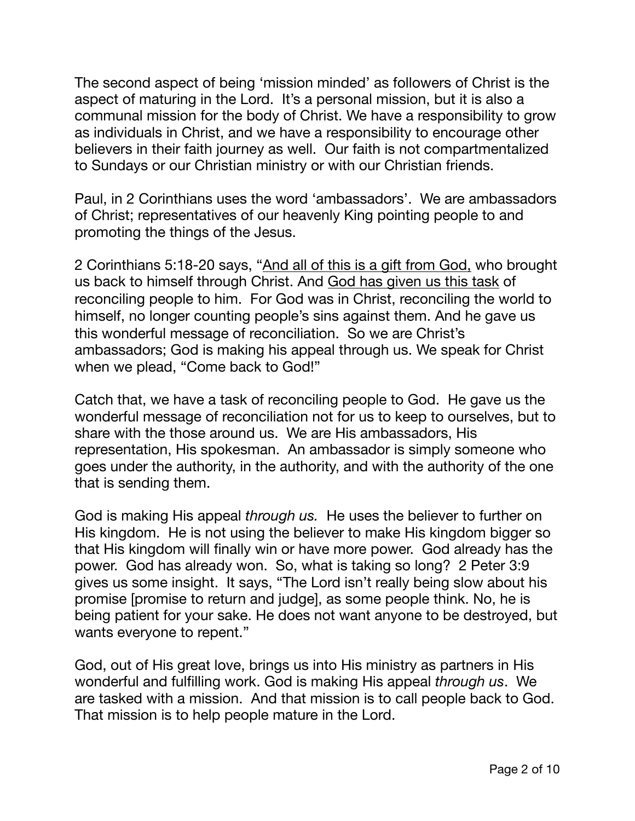The second aspect of being 'mission minded' as followers of Christ is the aspect of maturing in the Lord. It's a personal mission, but it is also a communal mission for the body of Christ. We have a responsibility to grow as individuals in Christ, and we have a responsibility to encourage other believers in their faith journey as well. Our faith is not compartmentalized to Sundays or our Christian ministry or with our Christian friends.

Paul, in 2 Corinthians uses the word 'ambassadors'. We are ambassadors of Christ; representatives of our heavenly King pointing people to and promoting the things of the Jesus.

2 Corinthians 5:18-20 says, "And all of this is a gift from God, who brought us back to himself through Christ. And God has given us this task of reconciling people to him. For God was in Christ, reconciling the world to himself, no longer counting people's sins against them. And he gave us this wonderful message of reconciliation. So we are Christ's ambassadors; God is making his appeal through us. We speak for Christ when we plead, "Come back to God!"

Catch that, we have a task of reconciling people to God. He gave us the wonderful message of reconciliation not for us to keep to ourselves, but to share with the those around us. We are His ambassadors, His representation, His spokesman. An ambassador is simply someone who goes under the authority, in the authority, and with the authority of the one that is sending them.

God is making His appeal *through us.* He uses the believer to further on His kingdom. He is not using the believer to make His kingdom bigger so that His kingdom will finally win or have more power. God already has the power. God has already won. So, what is taking so long? 2 Peter 3:9 gives us some insight. It says, "The Lord isn't really being slow about his promise [promise to return and judge], as some people think. No, he is being patient for your sake. He does not want anyone to be destroyed, but wants everyone to repent."

God, out of His great love, brings us into His ministry as partners in His wonderful and fulfilling work. God is making His appeal *through us*. We are tasked with a mission. And that mission is to call people back to God. That mission is to help people mature in the Lord.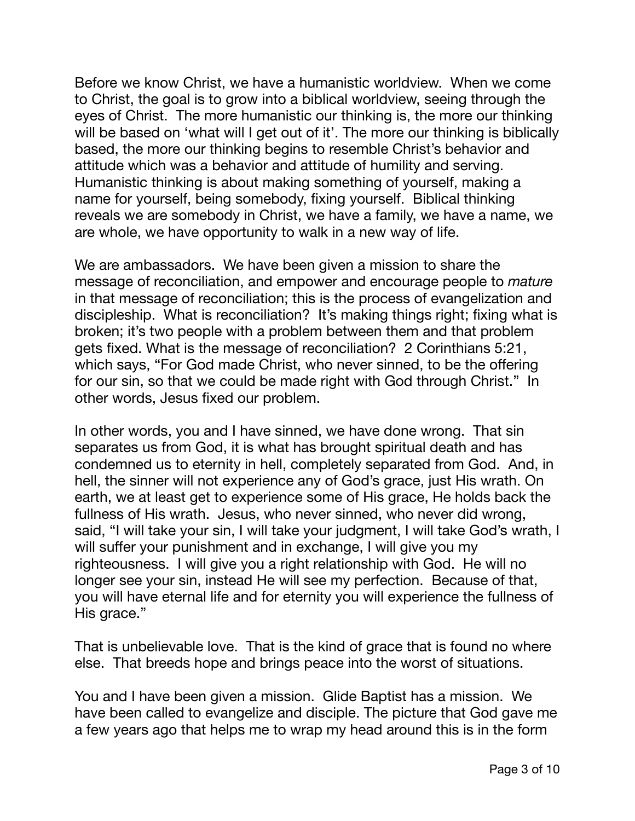Before we know Christ, we have a humanistic worldview. When we come to Christ, the goal is to grow into a biblical worldview, seeing through the eyes of Christ. The more humanistic our thinking is, the more our thinking will be based on 'what will I get out of it'. The more our thinking is biblically based, the more our thinking begins to resemble Christ's behavior and attitude which was a behavior and attitude of humility and serving. Humanistic thinking is about making something of yourself, making a name for yourself, being somebody, fixing yourself. Biblical thinking reveals we are somebody in Christ, we have a family, we have a name, we are whole, we have opportunity to walk in a new way of life.

We are ambassadors. We have been given a mission to share the message of reconciliation, and empower and encourage people to *mature* in that message of reconciliation; this is the process of evangelization and discipleship. What is reconciliation? It's making things right; fixing what is broken; it's two people with a problem between them and that problem gets fixed. What is the message of reconciliation? 2 Corinthians 5:21, which says, "For God made Christ, who never sinned, to be the offering for our sin, so that we could be made right with God through Christ." In other words, Jesus fixed our problem.

In other words, you and I have sinned, we have done wrong. That sin separates us from God, it is what has brought spiritual death and has condemned us to eternity in hell, completely separated from God. And, in hell, the sinner will not experience any of God's grace, just His wrath. On earth, we at least get to experience some of His grace, He holds back the fullness of His wrath. Jesus, who never sinned, who never did wrong, said, "I will take your sin, I will take your judgment, I will take God's wrath, I will suffer your punishment and in exchange, I will give you my righteousness. I will give you a right relationship with God. He will no longer see your sin, instead He will see my perfection. Because of that, you will have eternal life and for eternity you will experience the fullness of His grace."

That is unbelievable love. That is the kind of grace that is found no where else. That breeds hope and brings peace into the worst of situations.

You and I have been given a mission. Glide Baptist has a mission. We have been called to evangelize and disciple. The picture that God gave me a few years ago that helps me to wrap my head around this is in the form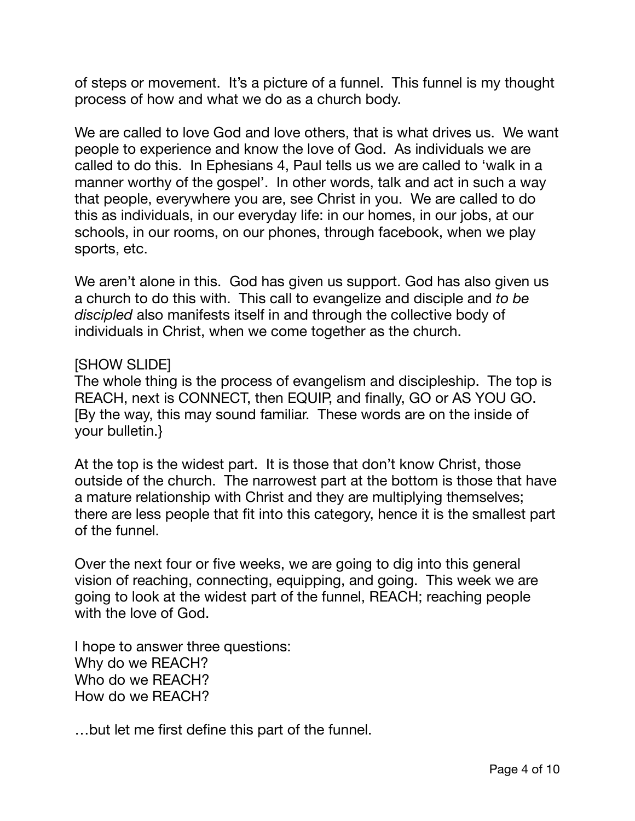of steps or movement. It's a picture of a funnel. This funnel is my thought process of how and what we do as a church body.

We are called to love God and love others, that is what drives us. We want people to experience and know the love of God. As individuals we are called to do this. In Ephesians 4, Paul tells us we are called to 'walk in a manner worthy of the gospel'. In other words, talk and act in such a way that people, everywhere you are, see Christ in you. We are called to do this as individuals, in our everyday life: in our homes, in our jobs, at our schools, in our rooms, on our phones, through facebook, when we play sports, etc.

We aren't alone in this. God has given us support. God has also given us a church to do this with. This call to evangelize and disciple and *to be discipled* also manifests itself in and through the collective body of individuals in Christ, when we come together as the church.

#### [SHOW SLIDE]

The whole thing is the process of evangelism and discipleship. The top is REACH, next is CONNECT, then EQUIP, and finally, GO or AS YOU GO. [By the way, this may sound familiar. These words are on the inside of your bulletin.}

At the top is the widest part. It is those that don't know Christ, those outside of the church. The narrowest part at the bottom is those that have a mature relationship with Christ and they are multiplying themselves; there are less people that fit into this category, hence it is the smallest part of the funnel.

Over the next four or five weeks, we are going to dig into this general vision of reaching, connecting, equipping, and going. This week we are going to look at the widest part of the funnel, REACH; reaching people with the love of God.

I hope to answer three questions: Why do we REACH? Who do we REACH? How do we REACH?

…but let me first define this part of the funnel.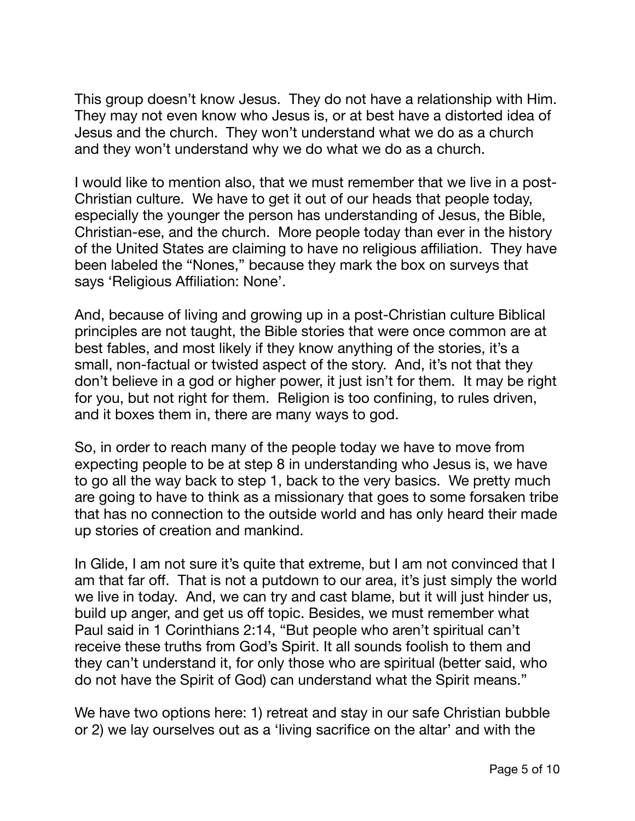This group doesn't know Jesus. They do not have a relationship with Him. They may not even know who Jesus is, or at best have a distorted idea of Jesus and the church. They won't understand what we do as a church and they won't understand why we do what we do as a church.

I would like to mention also, that we must remember that we live in a post-Christian culture. We have to get it out of our heads that people today, especially the younger the person has understanding of Jesus, the Bible, Christian-ese, and the church. More people today than ever in the history of the United States are claiming to have no religious affiliation. They have been labeled the "Nones," because they mark the box on surveys that says 'Religious Affiliation: None'.

And, because of living and growing up in a post-Christian culture Biblical principles are not taught, the Bible stories that were once common are at best fables, and most likely if they know anything of the stories, it's a small, non-factual or twisted aspect of the story. And, it's not that they don't believe in a god or higher power, it just isn't for them. It may be right for you, but not right for them. Religion is too confining, to rules driven, and it boxes them in, there are many ways to god.

So, in order to reach many of the people today we have to move from expecting people to be at step 8 in understanding who Jesus is, we have to go all the way back to step 1, back to the very basics. We pretty much are going to have to think as a missionary that goes to some forsaken tribe that has no connection to the outside world and has only heard their made up stories of creation and mankind.

In Glide, I am not sure it's quite that extreme, but I am not convinced that I am that far off. That is not a putdown to our area, it's just simply the world we live in today. And, we can try and cast blame, but it will just hinder us, build up anger, and get us off topic. Besides, we must remember what Paul said in 1 Corinthians 2:14, "But people who aren't spiritual can't receive these truths from God's Spirit. It all sounds foolish to them and they can't understand it, for only those who are spiritual (better said, who do not have the Spirit of God) can understand what the Spirit means."

We have two options here: 1) retreat and stay in our safe Christian bubble or 2) we lay ourselves out as a 'living sacrifice on the altar' and with the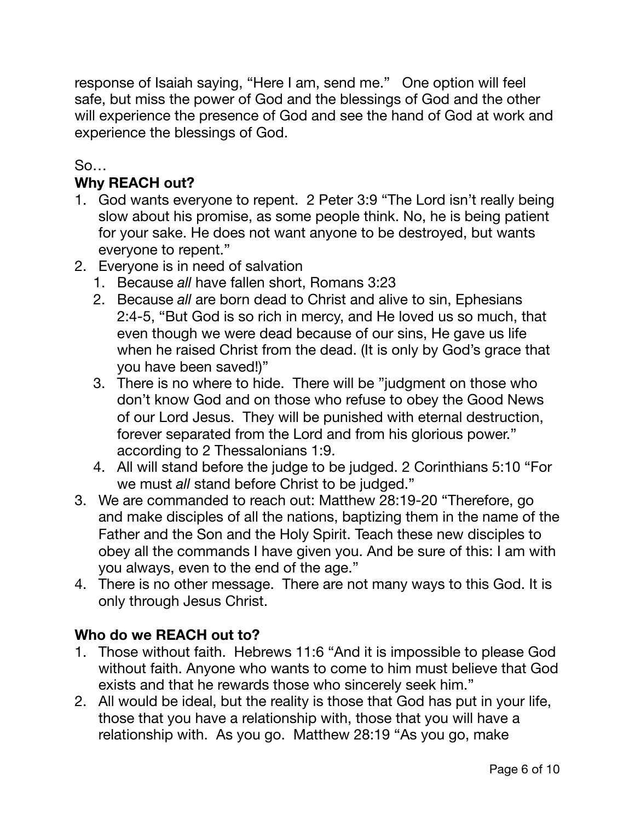response of Isaiah saying, "Here I am, send me." One option will feel safe, but miss the power of God and the blessings of God and the other will experience the presence of God and see the hand of God at work and experience the blessings of God.

# So…

# **Why REACH out?**

- 1. God wants everyone to repent. 2 Peter 3:9 "The Lord isn't really being slow about his promise, as some people think. No, he is being patient for your sake. He does not want anyone to be destroyed, but wants everyone to repent."
- 2. Everyone is in need of salvation
	- 1. Because *all* have fallen short, Romans 3:23
	- 2. Because *all* are born dead to Christ and alive to sin, Ephesians 2:4-5, "But God is so rich in mercy, and He loved us so much, that even though we were dead because of our sins, He gave us life when he raised Christ from the dead. (It is only by God's grace that you have been saved!)"
	- 3. There is no where to hide. There will be "judgment on those who don't know God and on those who refuse to obey the Good News of our Lord Jesus. They will be punished with eternal destruction, forever separated from the Lord and from his glorious power." according to 2 Thessalonians 1:9.
	- 4. All will stand before the judge to be judged. 2 Corinthians 5:10 "For we must *all* stand before Christ to be judged."
- 3. We are commanded to reach out: Matthew 28:19-20 "Therefore, go and make disciples of all the nations, baptizing them in the name of the Father and the Son and the Holy Spirit. Teach these new disciples to obey all the commands I have given you. And be sure of this: I am with you always, even to the end of the age."
- 4. There is no other message. There are not many ways to this God. It is only through Jesus Christ.

### **Who do we REACH out to?**

- 1. Those without faith. Hebrews 11:6 "And it is impossible to please God without faith. Anyone who wants to come to him must believe that God exists and that he rewards those who sincerely seek him."
- 2. All would be ideal, but the reality is those that God has put in your life, those that you have a relationship with, those that you will have a relationship with. As you go. Matthew 28:19 "As you go, make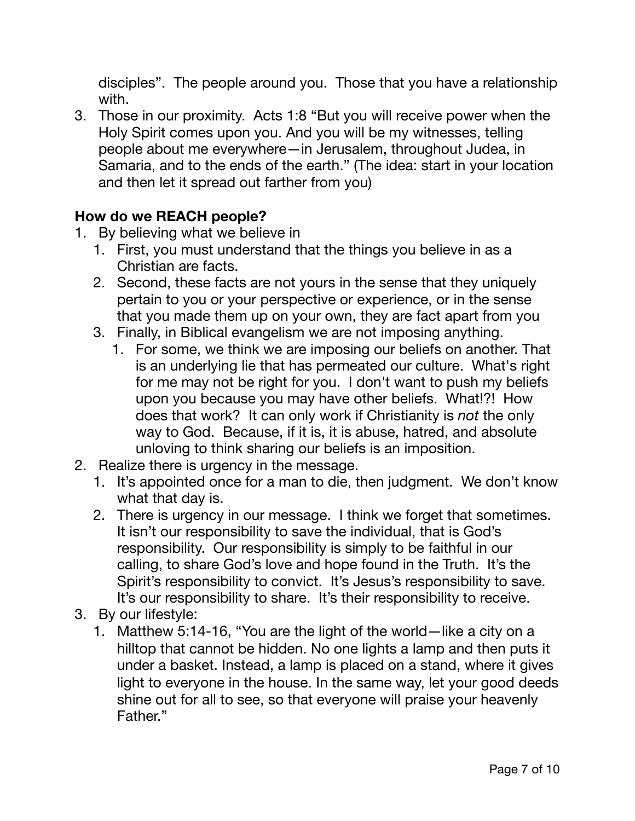disciples". The people around you. Those that you have a relationship with.

3. Those in our proximity. Acts 1:8 "But you will receive power when the Holy Spirit comes upon you. And you will be my witnesses, telling people about me everywhere—in Jerusalem, throughout Judea, in Samaria, and to the ends of the earth." (The idea: start in your location and then let it spread out farther from you)

# **How do we REACH people?**

- 1. By believing what we believe in
	- 1. First, you must understand that the things you believe in as a Christian are facts.
	- 2. Second, these facts are not yours in the sense that they uniquely pertain to you or your perspective or experience, or in the sense that you made them up on your own, they are fact apart from you
	- 3. Finally, in Biblical evangelism we are not imposing anything.
		- 1. For some, we think we are imposing our beliefs on another. That is an underlying lie that has permeated our culture. What's right for me may not be right for you. I don't want to push my beliefs upon you because you may have other beliefs. What!?! How does that work? It can only work if Christianity is *not* the only way to God. Because, if it is, it is abuse, hatred, and absolute unloving to think sharing our beliefs is an imposition.
- 2. Realize there is urgency in the message.
	- 1. It's appointed once for a man to die, then judgment. We don't know what that day is.
	- 2. There is urgency in our message. I think we forget that sometimes. It isn't our responsibility to save the individual, that is God's responsibility. Our responsibility is simply to be faithful in our calling, to share God's love and hope found in the Truth. It's the Spirit's responsibility to convict. It's Jesus's responsibility to save. It's our responsibility to share. It's their responsibility to receive.
- 3. By our lifestyle:
	- 1. Matthew 5:14-16, "You are the light of the world—like a city on a hilltop that cannot be hidden. No one lights a lamp and then puts it under a basket. Instead, a lamp is placed on a stand, where it gives light to everyone in the house. In the same way, let your good deeds shine out for all to see, so that everyone will praise your heavenly Father."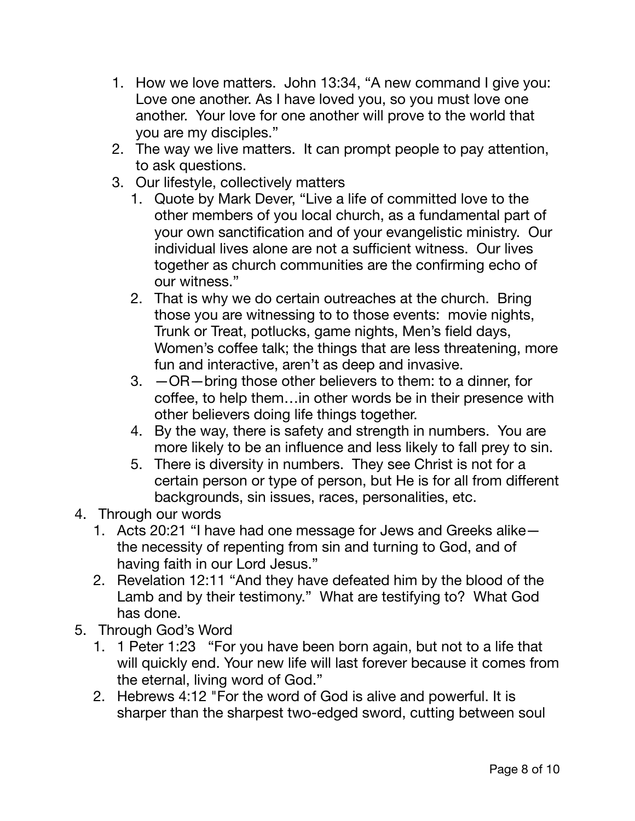- 1. How we love matters. John 13:34, "A new command I give you: Love one another. As I have loved you, so you must love one another. Your love for one another will prove to the world that you are my disciples."
- 2. The way we live matters. It can prompt people to pay attention, to ask questions.
- 3. Our lifestyle, collectively matters
	- 1. Quote by Mark Dever, "Live a life of committed love to the other members of you local church, as a fundamental part of your own sanctification and of your evangelistic ministry. Our individual lives alone are not a sufficient witness. Our lives together as church communities are the confirming echo of our witness."
	- 2. That is why we do certain outreaches at the church. Bring those you are witnessing to to those events: movie nights, Trunk or Treat, potlucks, game nights, Men's field days, Women's coffee talk; the things that are less threatening, more fun and interactive, aren't as deep and invasive.
	- 3. —OR—bring those other believers to them: to a dinner, for coffee, to help them…in other words be in their presence with other believers doing life things together.
	- 4. By the way, there is safety and strength in numbers. You are more likely to be an influence and less likely to fall prey to sin.
	- 5. There is diversity in numbers. They see Christ is not for a certain person or type of person, but He is for all from different backgrounds, sin issues, races, personalities, etc.
- 4. Through our words
	- 1. Acts 20:21 "I have had one message for Jews and Greeks alike the necessity of repenting from sin and turning to God, and of having faith in our Lord Jesus."
	- 2. Revelation 12:11 "And they have defeated him by the blood of the Lamb and by their testimony." What are testifying to? What God has done.
- 5. Through God's Word
	- 1. 1 Peter 1:23 "For you have been born again, but not to a life that will quickly end. Your new life will last forever because it comes from the eternal, living word of God."
	- 2. Hebrews 4:12 "For the word of God is alive and powerful. It is sharper than the sharpest two-edged sword, cutting between soul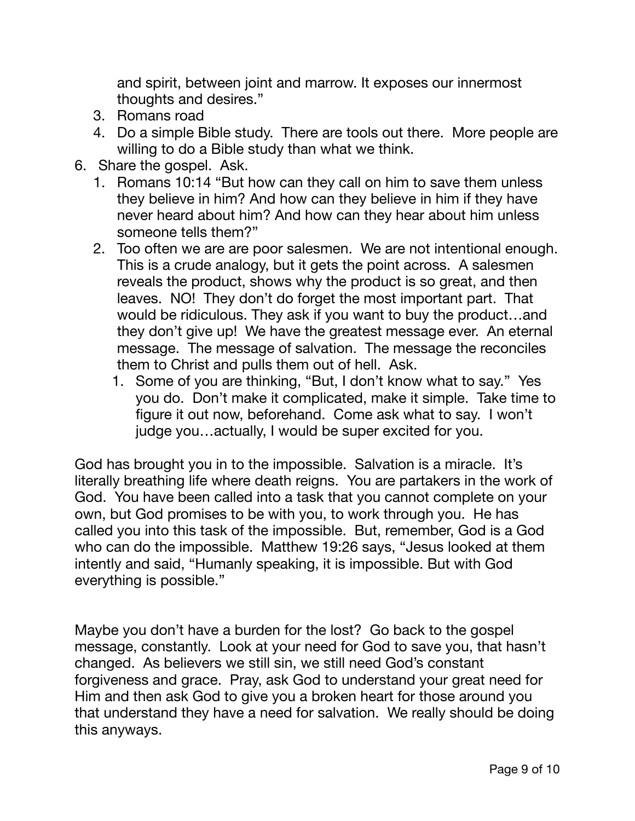and spirit, between joint and marrow. It exposes our innermost thoughts and desires."

- 3. Romans road
- 4. Do a simple Bible study. There are tools out there. More people are willing to do a Bible study than what we think.
- 6. Share the gospel. Ask.
	- 1. Romans 10:14 "But how can they call on him to save them unless they believe in him? And how can they believe in him if they have never heard about him? And how can they hear about him unless someone tells them?"
	- 2. Too often we are are poor salesmen. We are not intentional enough. This is a crude analogy, but it gets the point across. A salesmen reveals the product, shows why the product is so great, and then leaves. NO! They don't do forget the most important part. That would be ridiculous. They ask if you want to buy the product…and they don't give up! We have the greatest message ever. An eternal message. The message of salvation. The message the reconciles them to Christ and pulls them out of hell. Ask.
		- 1. Some of you are thinking, "But, I don't know what to say." Yes you do. Don't make it complicated, make it simple. Take time to figure it out now, beforehand. Come ask what to say. I won't judge you…actually, I would be super excited for you.

God has brought you in to the impossible. Salvation is a miracle. It's literally breathing life where death reigns. You are partakers in the work of God. You have been called into a task that you cannot complete on your own, but God promises to be with you, to work through you. He has called you into this task of the impossible. But, remember, God is a God who can do the impossible. Matthew 19:26 says, "Jesus looked at them intently and said, "Humanly speaking, it is impossible. But with God everything is possible."

Maybe you don't have a burden for the lost? Go back to the gospel message, constantly. Look at your need for God to save you, that hasn't changed. As believers we still sin, we still need God's constant forgiveness and grace. Pray, ask God to understand your great need for Him and then ask God to give you a broken heart for those around you that understand they have a need for salvation. We really should be doing this anyways.